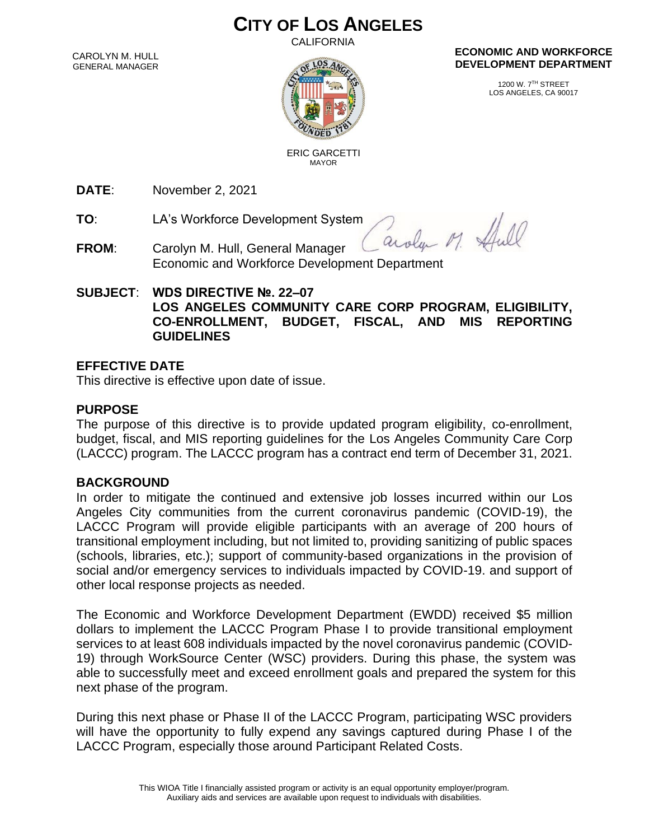# **CITY OF LOS ANGELES**

CALIFORNIA

CAROLYN M. HULL GENERAL MANAGER



#### **ECONOMIC AND WORKFORCE DEVELOPMENT DEPARTMENT**

1200 W. 7TH STREET LOS ANGELES, CA 90017

 ERIC GARCETTI MAYOR

**DATE**: November 2, 2021

**TO**: LA's Workforce Development System

**FROM**: Carolyn M. Hull, General Manager Economic and Workforce Development Department

#### **SUBJECT**: **WDS DIRECTIVE №. 22–07 LOS ANGELES COMMUNITY CARE CORP PROGRAM, ELIGIBILITY, CO-ENROLLMENT, BUDGET, FISCAL, AND MIS REPORTING GUIDELINES**

### **EFFECTIVE DATE**

This directive is effective upon date of issue.

## **PURPOSE**

The purpose of this directive is to provide updated program eligibility, co-enrollment, budget, fiscal, and MIS reporting guidelines for the Los Angeles Community Care Corp (LACCC) program. The LACCC program has a contract end term of December 31, 2021.

#### **BACKGROUND**

In order to mitigate the continued and extensive job losses incurred within our Los Angeles City communities from the current coronavirus pandemic (COVID-19), the LACCC Program will provide eligible participants with an average of 200 hours of transitional employment including, but not limited to, providing sanitizing of public spaces (schools, libraries, etc.); support of community-based organizations in the provision of social and/or emergency services to individuals impacted by COVID-19. and support of other local response projects as needed.

The Economic and Workforce Development Department (EWDD) received \$5 million dollars to implement the LACCC Program Phase I to provide transitional employment services to at least 608 individuals impacted by the novel coronavirus pandemic (COVID-19) through WorkSource Center (WSC) providers. During this phase, the system was able to successfully meet and exceed enrollment goals and prepared the system for this next phase of the program.

During this next phase or Phase II of the LACCC Program, participating WSC providers will have the opportunity to fully expend any savings captured during Phase I of the LACCC Program, especially those around Participant Related Costs.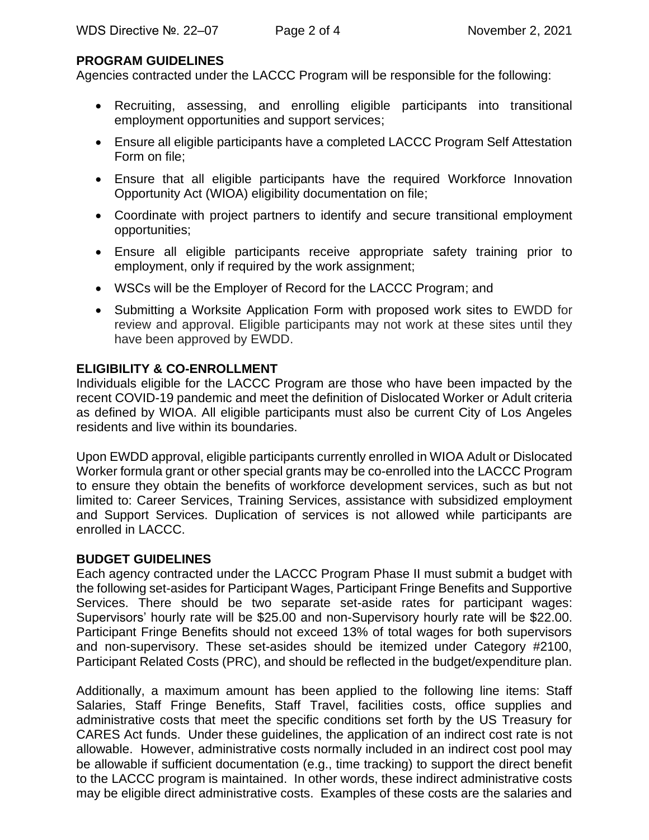#### **PROGRAM GUIDELINES**

Agencies contracted under the LACCC Program will be responsible for the following:

- Recruiting, assessing, and enrolling eligible participants into transitional employment opportunities and support services;
- Ensure all eligible participants have a completed LACCC Program Self Attestation Form on file;
- Ensure that all eligible participants have the required Workforce Innovation Opportunity Act (WIOA) eligibility documentation on file;
- Coordinate with project partners to identify and secure transitional employment opportunities;
- Ensure all eligible participants receive appropriate safety training prior to employment, only if required by the work assignment;
- WSCs will be the Employer of Record for the LACCC Program; and
- Submitting a Worksite Application Form with proposed work sites to EWDD for review and approval. Eligible participants may not work at these sites until they have been approved by EWDD.

### **ELIGIBILITY & CO-ENROLLMENT**

Individuals eligible for the LACCC Program are those who have been impacted by the recent COVID-19 pandemic and meet the definition of Dislocated Worker or Adult criteria as defined by WIOA. All eligible participants must also be current City of Los Angeles residents and live within its boundaries.

Upon EWDD approval, eligible participants currently enrolled in WIOA Adult or Dislocated Worker formula grant or other special grants may be co-enrolled into the LACCC Program to ensure they obtain the benefits of workforce development services, such as but not limited to: Career Services, Training Services, assistance with subsidized employment and Support Services. Duplication of services is not allowed while participants are enrolled in LACCC.

#### **BUDGET GUIDELINES**

Each agency contracted under the LACCC Program Phase II must submit a budget with the following set-asides for Participant Wages, Participant Fringe Benefits and Supportive Services. There should be two separate set-aside rates for participant wages: Supervisors' hourly rate will be \$25.00 and non-Supervisory hourly rate will be \$22.00. Participant Fringe Benefits should not exceed 13% of total wages for both supervisors and non-supervisory. These set-asides should be itemized under Category #2100, Participant Related Costs (PRC), and should be reflected in the budget/expenditure plan.

Additionally, a maximum amount has been applied to the following line items: Staff Salaries, Staff Fringe Benefits, Staff Travel, facilities costs, office supplies and administrative costs that meet the specific conditions set forth by the US Treasury for CARES Act funds. Under these guidelines, the application of an indirect cost rate is not allowable. However, administrative costs normally included in an indirect cost pool may be allowable if sufficient documentation (e.g., time tracking) to support the direct benefit to the LACCC program is maintained. In other words, these indirect administrative costs may be eligible direct administrative costs. Examples of these costs are the salaries and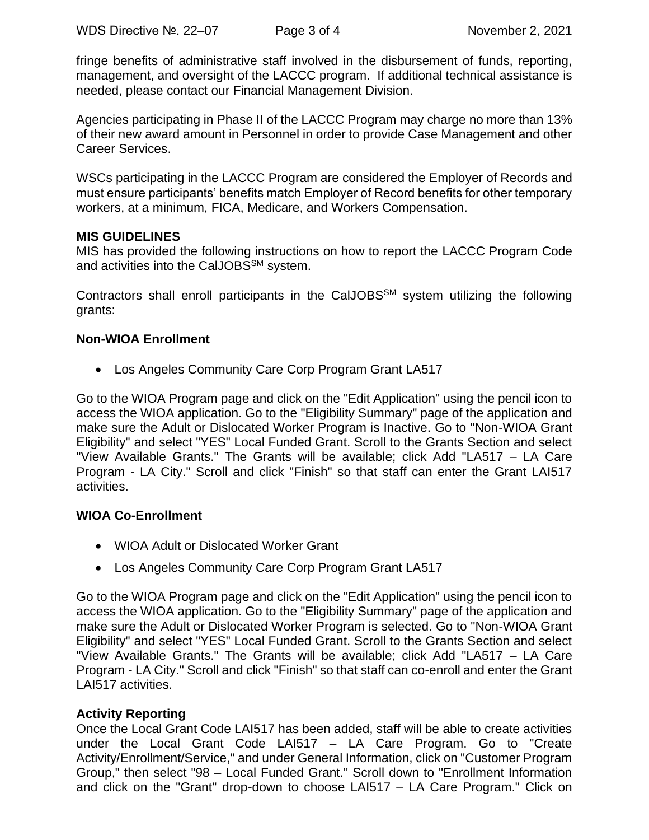fringe benefits of administrative staff involved in the disbursement of funds, reporting, management, and oversight of the LACCC program. If additional technical assistance is needed, please contact our Financial Management Division.

Agencies participating in Phase II of the LACCC Program may charge no more than 13% of their new award amount in Personnel in order to provide Case Management and other Career Services.

WSCs participating in the LACCC Program are considered the Employer of Records and must ensure participants' benefits match Employer of Record benefits for other temporary workers, at a minimum, FICA, Medicare, and Workers Compensation.

#### **MIS GUIDELINES**

MIS has provided the following instructions on how to report the LACCC Program Code and activities into the CalJOBS<sup>SM</sup> system.

Contractors shall enroll participants in the CalJOBS<sup>SM</sup> system utilizing the following grants:

### **Non-WIOA Enrollment**

• Los Angeles Community Care Corp Program Grant LA517

Go to the WIOA Program page and click on the "Edit Application" using the pencil icon to access the WIOA application. Go to the "Eligibility Summary" page of the application and make sure the Adult or Dislocated Worker Program is Inactive. Go to "Non-WIOA Grant Eligibility" and select "YES" Local Funded Grant. Scroll to the Grants Section and select "View Available Grants." The Grants will be available; click Add "LA517 – LA Care Program - LA City." Scroll and click "Finish" so that staff can enter the Grant LAI517 activities.

#### **WIOA Co-Enrollment**

- WIOA Adult or Dislocated Worker Grant
- Los Angeles Community Care Corp Program Grant LA517

Go to the WIOA Program page and click on the "Edit Application" using the pencil icon to access the WIOA application. Go to the "Eligibility Summary" page of the application and make sure the Adult or Dislocated Worker Program is selected. Go to "Non-WIOA Grant Eligibility" and select "YES" Local Funded Grant. Scroll to the Grants Section and select "View Available Grants." The Grants will be available; click Add "LA517 – LA Care Program - LA City." Scroll and click "Finish" so that staff can co-enroll and enter the Grant LAI517 activities.

#### **Activity Reporting**

Once the Local Grant Code LAI517 has been added, staff will be able to create activities under the Local Grant Code LAI517 – LA Care Program. Go to "Create Activity/Enrollment/Service," and under General Information, click on "Customer Program Group," then select "98 – Local Funded Grant." Scroll down to "Enrollment Information and click on the "Grant" drop-down to choose LAI517 – LA Care Program." Click on